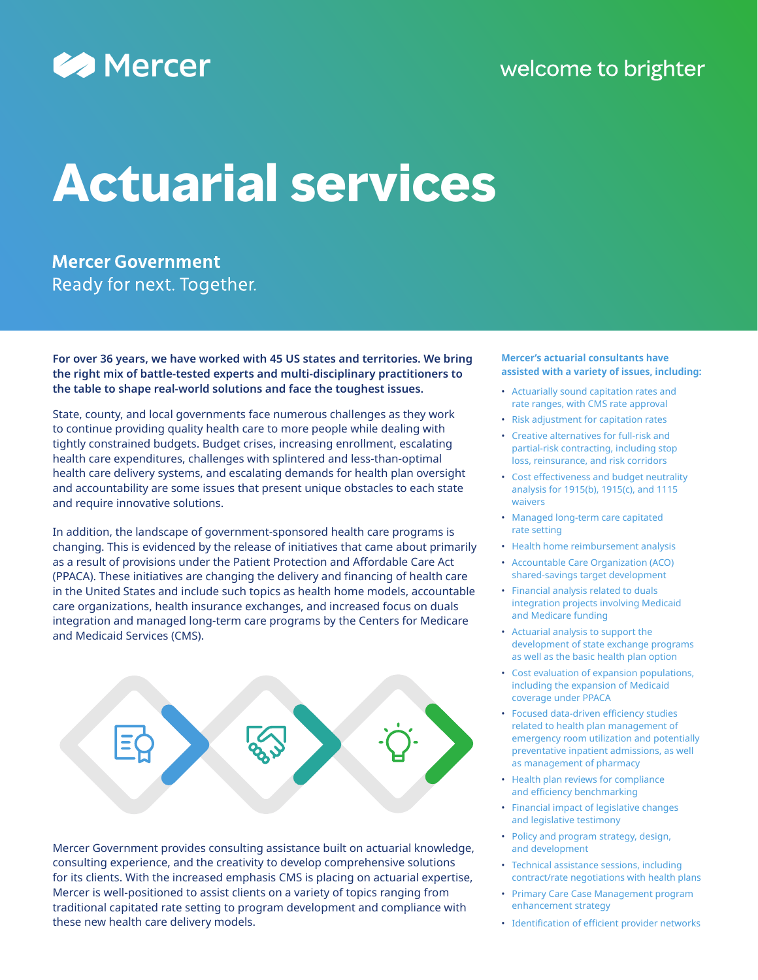

## welcome to brighter

# **Actuarial services**

**Mercer Government** Ready for next. Together.

**For over 36 years, we have worked with 45 US states and territories. We bring the right mix of battle-tested experts and multi-disciplinary practitioners to the table to shape real-world solutions and face the toughest issues.**

State, county, and local governments face numerous challenges as they work to continue providing quality health care to more people while dealing with tightly constrained budgets. Budget crises, increasing enrollment, escalating health care expenditures, challenges with splintered and less-than-optimal health care delivery systems, and escalating demands for health plan oversight and accountability are some issues that present unique obstacles to each state and require innovative solutions.

In addition, the landscape of government-sponsored health care programs is changing. This is evidenced by the release of initiatives that came about primarily as a result of provisions under the Patient Protection and Affordable Care Act (PPACA). These initiatives are changing the delivery and financing of health care in the United States and include such topics as health home models, accountable care organizations, health insurance exchanges, and increased focus on duals integration and managed long-term care programs by the Centers for Medicare and Medicaid Services (CMS).



Mercer Government provides consulting assistance built on actuarial knowledge, consulting experience, and the creativity to develop comprehensive solutions for its clients. With the increased emphasis CMS is placing on actuarial expertise, Mercer is well-positioned to assist clients on a variety of topics ranging from traditional capitated rate setting to program development and compliance with these new health care delivery models.

#### **Mercer's actuarial consultants have assisted with a variety of issues, including:**

- Actuarially sound capitation rates and rate ranges, with CMS rate approval
- Risk adjustment for capitation rates
- Creative alternatives for full-risk and partial-risk contracting, including stop loss, reinsurance, and risk corridors
- Cost effectiveness and budget neutrality analysis for 1915(b), 1915(c), and 1115 waivers
- Managed long-term care capitated rate setting
- Health home reimbursement analysis
- Accountable Care Organization (ACO) shared-savings target development
- Financial analysis related to duals integration projects involving Medicaid and Medicare funding
- Actuarial analysis to support the development of state exchange programs as well as the basic health plan option
- Cost evaluation of expansion populations, including the expansion of Medicaid coverage under PPACA
- Focused data-driven efficiency studies related to health plan management of emergency room utilization and potentially preventative inpatient admissions, as well as management of pharmacy
- Health plan reviews for compliance and efficiency benchmarking
- Financial impact of legislative changes and legislative testimony
- Policy and program strategy, design, and development
- Technical assistance sessions, including contract/rate negotiations with health plans
- Primary Care Case Management program enhancement strategy
- Identification of efficient provider networks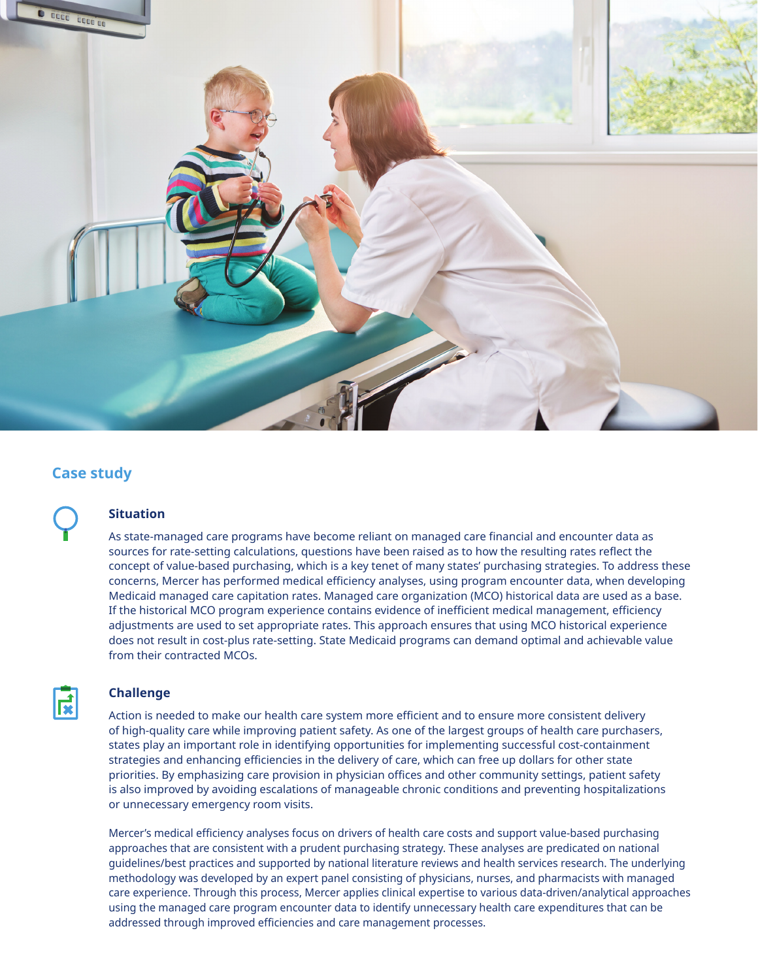

## **Case study**

### **Situation**

As state-managed care programs have become reliant on managed care financial and encounter data as sources for rate-setting calculations, questions have been raised as to how the resulting rates reflect the concept of value-based purchasing, which is a key tenet of many states' purchasing strategies. To address these concerns, Mercer has performed medical efficiency analyses, using program encounter data, when developing Medicaid managed care capitation rates. Managed care organization (MCO) historical data are used as a base. If the historical MCO program experience contains evidence of inefficient medical management, efficiency adjustments are used to set appropriate rates. This approach ensures that using MCO historical experience does not result in cost-plus rate-setting. State Medicaid programs can demand optimal and achievable value from their contracted MCOs.



#### **Challenge**

Action is needed to make our health care system more efficient and to ensure more consistent delivery of high-quality care while improving patient safety. As one of the largest groups of health care purchasers, states play an important role in identifying opportunities for implementing successful cost-containment strategies and enhancing efficiencies in the delivery of care, which can free up dollars for other state priorities. By emphasizing care provision in physician offices and other community settings, patient safety is also improved by avoiding escalations of manageable chronic conditions and preventing hospitalizations or unnecessary emergency room visits.

Mercer's medical efficiency analyses focus on drivers of health care costs and support value-based purchasing approaches that are consistent with a prudent purchasing strategy. These analyses are predicated on national guidelines/best practices and supported by national literature reviews and health services research. The underlying methodology was developed by an expert panel consisting of physicians, nurses, and pharmacists with managed care experience. Through this process, Mercer applies clinical expertise to various data-driven/analytical approaches using the managed care program encounter data to identify unnecessary health care expenditures that can be addressed through improved efficiencies and care management processes.